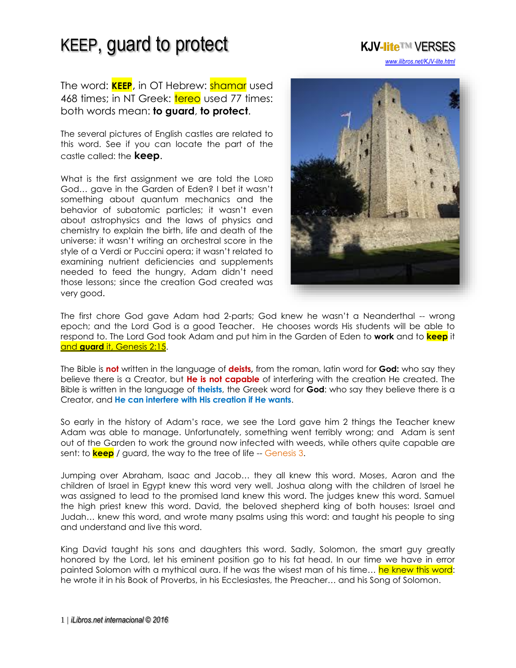The word: **KEEP**, in OT Hebrew: shamar used 468 times; in NT Greek: tereo used 77 times: both words mean: **to guard**, **to protect**.

The several pictures of English castles are related to this word. See if you can locate the part of the castle called: the **keep**.

What is the first assignment we are told the LORD God… gave in the Garden of Eden? I bet it wasn't something about quantum mechanics and the behavior of subatomic particles; it wasn't even about astrophysics and the laws of physics and chemistry to explain the birth, life and death of the universe: it wasn't writing an orchestral score in the style of a Verdi or Puccini opera; it wasn't related to examining nutrient deficiencies and supplements needed to feed the hungry, Adam didn't need those lessons; since the creation God created was very good.



*[www.ilibros.net/KJV-lite.html](http://www.ilibros.net/KJV-lite.html)*

The first chore God gave Adam had 2-parts; God knew he wasn't a Neanderthal -- wrong epoch; and the Lord God is a good Teacher. He chooses words His students will be able to respond to. The Lord God took Adam and put him in the Garden of Eden to **work** and to **keep** it and **guard** [it, Genesis 2:15.](http://www.isa-net.org/pdf/GENESIS2vs1.pdf)

The Bible is **not** written in the language of **deists,** from the roman, latin word for **God:** who say they believe there is a Creator, but **He is not capable** of interfering with the creation He created. The Bible is written in the language of **theists**, the Greek word for **God**: who say they believe there is a Creator, and **He can interfere with His creation if He wants**.

So early in the history of Adam's race, we see the Lord gave him 2 things the Teacher knew Adam was able to manage. Unfortunately, something went terribly wrong; and Adam is sent out of the Garden to work the ground now infected with weeds, while others quite capable are sent: to **keep** / guard, the way to the tree of life -- Genesis 3.

Jumping over Abraham, Isaac and Jacob… they all knew this word. Moses, Aaron and the children of Israel in Egypt knew this word very well. Joshua along with the children of Israel he was assigned to lead to the promised land knew this word. The judges knew this word. Samuel the high priest knew this word. David, the beloved shepherd king of both houses: Israel and Judah… knew this word, and wrote many psalms using this word: and taught his people to sing and understand and live this word.

King David taught his sons and daughters this word. Sadly, Solomon, the smart guy greatly honored by the Lord, let his eminent position go to his fat head. In our time we have in error painted Solomon with a mythical aura. If he was the wisest man of his time... he knew this word: he wrote it in his Book of Proverbs, in his Ecclesiastes, the Preacher… and his Song of Solomon.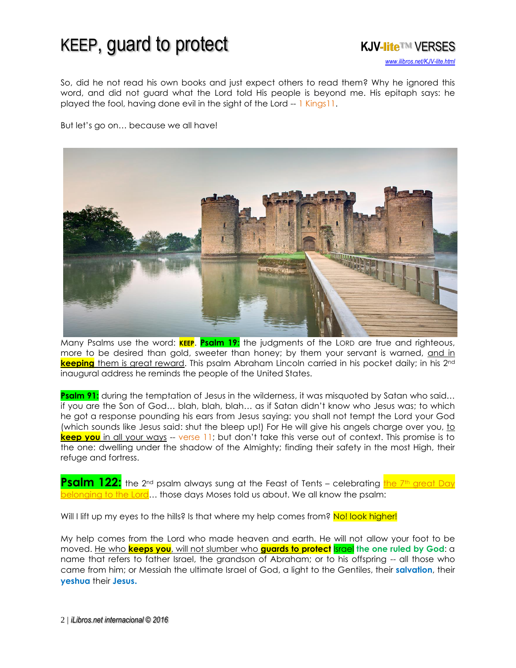

So, did he not read his own books and just expect others to read them? Why he ignored this word, and did not guard what the Lord told His people is beyond me. His epitaph says: he played the fool, having done evil in the sight of the Lord -- 1 Kings11.

But let's go on… because we all have!



Many Psalms use the word: **KEEP**. **Psalm 19:** the judgments of the LORD are true and righteous, more to be desired than gold, sweeter than honey; by them your servant is warned, [and in](http://www.isa-net.org/pdf/PSALM19vs1.pdf)  **keeping** [them is great reward.](http://www.isa-net.org/pdf/PSALM19vs1.pdf) This psalm Abraham Lincoln carried in his pocket daily; in his 2nd inaugural address he reminds the people of the United States.

**Psalm 91:** during the temptation of Jesus in the wilderness, it was misquoted by Satan who said... if you are the Son of God… blah, blah, blah… as if Satan didn't know who Jesus was; to which he got a response pounding his ears from Jesus saying: you shall not tempt the Lord your God (which sounds like Jesus said: shut the bleep up!) For He will give his angels charge over you, to **keep you** [in all your](http://www.isa-net.org/pdf/PSALM91vs1.pdf) ways -- verse 11; but don't take this verse out of context. This promise is to the one: dwelling under the shadow of the Almighty; finding their safety in the most High, their refuge and fortress.

**Psalm 122:** the 2<sup>nd</sup> psalm always sung at the Feast of Tents – celebrating the 7th great Day longing to the Lord… those days Moses told us about. We all know the psalm:

Will I lift up my eyes to the hills? Is that where my help comes from? No! look higher!

My help comes from the Lord who made heaven and earth. He will not allow your foot to be moved. He who **keeps you**, will not slumber who **[guards to protect](http://www.isa-net.org/pdf/PSALM121vs1.pdf)** Israel **the one ruled by God**: a name that refers to father Israel, the grandson of Abraham; or to his offspring -- all those who came from him; or Messiah the ultimate Israel of God, a light to the Gentiles, their **salvation**, their **yeshua** their **Jesus.**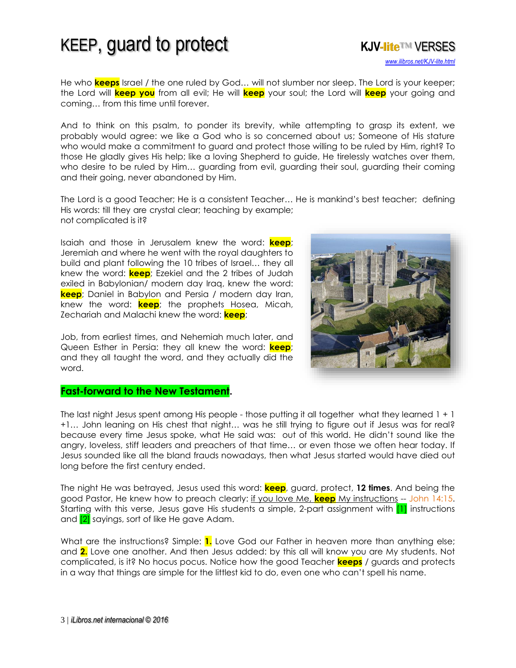*[www.ilibros.net/KJV-lite.html](http://www.ilibros.net/KJV-lite.html)*

He who **keeps** Israel / the one ruled by God… will not slumber nor sleep. The Lord is your keeper; the Lord will **keep you** from all evil; He will **keep** your soul; the Lord will **keep** your going and coming… from this time until forever.

And to think on this psalm, to ponder its brevity, while attempting to grasp its extent, we probably would agree: we like a God who is so concerned about us; Someone of His stature who would make a commitment to guard and protect those willing to be ruled by Him, right? To those He gladly gives His help; like a loving Shepherd to guide, He tirelessly watches over them, who desire to be ruled by Him… guarding from evil, guarding their soul, guarding their coming and their going, never abandoned by Him.

The Lord is a good Teacher; He is a consistent Teacher… He is mankind's best teacher; defining His words: till they are crystal clear; teaching by example; not complicated is it?

Isaiah and those in Jerusalem knew the word: **keep**; Jeremiah and where he went with the royal daughters to build and plant following the 10 tribes of Israel… they all knew the word: **keep**; Ezekiel and the 2 tribes of Judah exiled in Babylonian/ modern day Iraq, knew the word: **keep**; Daniel in Babylon and Persia / modern day Iran, knew the word: **keep**; the prophets Hosea, Micah, Zechariah and Malachi knew the word: **keep**;

Job, from earliest times, and Nehemiah much later, and Queen Esther in Persia: they all knew the word: **keep**; and they all taught the word, and they actually did the word.



#### **Fast-forward to the New Testament.**

The last night Jesus spent among His people - those putting it all together what they learned 1 + 1 +1… John leaning on His chest that night… was he still trying to figure out if Jesus was for real? because every time Jesus spoke, what He said was: out of this world. He didn't sound like the angry, loveless, stiff leaders and preachers of that time… or even those we often hear today. If Jesus sounded like all the bland frauds nowadays, then what Jesus started would have died out long before the first century ended.

The night He was betrayed, Jesus used this word: **keep**, guard, protect, **12 times**. And being the good Pastor, He knew how to preach clearly: if you love Me, **keep** [My instructions](http://www.isa-net.org/pdf/JOHN14vs1.pdf) -- John 14:15. Starting with this verse, Jesus gave His students a simple, 2-part assignment with [1] instructions and [2] sayings, sort of like He gave Adam.

What are the instructions? Simple: **1.** Love God our Father in heaven more than anything else; and **2.** Love one another. And then Jesus added: by this all will know you are My students. Not complicated, is it? No hocus pocus. Notice how the good Teacher **keeps** / guards and protects in a way that things are simple for the littlest kid to do, even one who can't spell his name.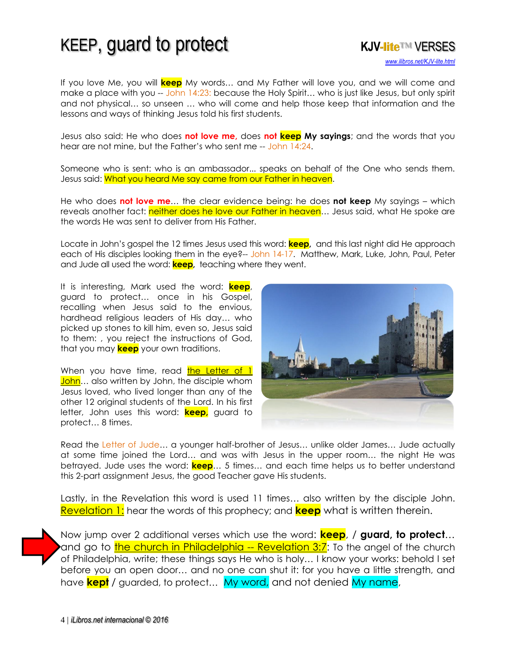

If you love Me, you will **keep** My words… and My Father will love you, and we will come and make a place with you -- John 14:23: because the Holy Spirit... who is just like Jesus, but only spirit and not physical… so unseen … who will come and help those keep that information and the lessons and ways of thinking Jesus told his first students.

Jesus also said: He who does **not love me,** does **not keep My sayings**; and the words that you hear are not mine, but the Father's who sent me -- John 14:24.

Someone who is sent: who is an ambassador... speaks on behalf of the One who sends them. Jesus said: What you heard Me say came from our Father in heaven.

He who does **not love me**… the clear evidence being: he does **not keep** My sayings – which reveals another fact: neither does he love our Father in heaven... Jesus said, what He spoke are the words He was sent to deliver from His Father.

Locate in John's gospel the 12 times Jesus used this word: **keep,** and this last night did He approach each of His disciples looking them in the eye?-- John 14-17. Matthew, Mark, Luke, John, Paul, Peter and Jude all used the word: **keep,** teaching where they went.

It is interesting, Mark used the word: **keep**, guard to protect… once in his Gospel, recalling when Jesus said to the envious, hardhead religious leaders of His day… who picked up stones to kill him, even so, Jesus said to them: , you reject the instructions of God, that you may **keep** your own traditions.

When you have time, read the Letter of 1 [John](http://www.isa-net.org/pdf/1JOHN1vs1.pdf)... also written by John, the disciple whom Jesus loved, who lived longer than any of the other 12 original students of the Lord. In his first letter, John uses this word: **keep,** guard to protect… 8 times.



Read the Letter of Jude… a younger half-brother of Jesus… unlike older James… Jude actually at some time joined the Lord… and was with Jesus in the upper room… the night He was betrayed. Jude uses the word: **keep**… 5 times… and each time helps us to better understand this 2-part assignment Jesus, the good Teacher gave His students.

Lastly, in the Revelation this word is used 11 times… also written by the disciple John. [Revelation 1:](http://www.isa-net.org/pdf/REVELATION1vs1.pdf) hear the words of this prophecy; and **keep** what is written therein.



Now jump over 2 additional verses which use the word: **keep**, / **guard, to protect**… and go to [the church in Philadelphia](http://www.isa-net.org/pdf/REVELATION3vs7.pdf) -- Revelation 3:7: To the angel of the church of Philadelphia, write; these things says He who is holy… I know your works: behold I set before you an open door… and no one can shut it: for you have a little strength, and have **kept** / guarded, to protect… My word, and not denied My name,